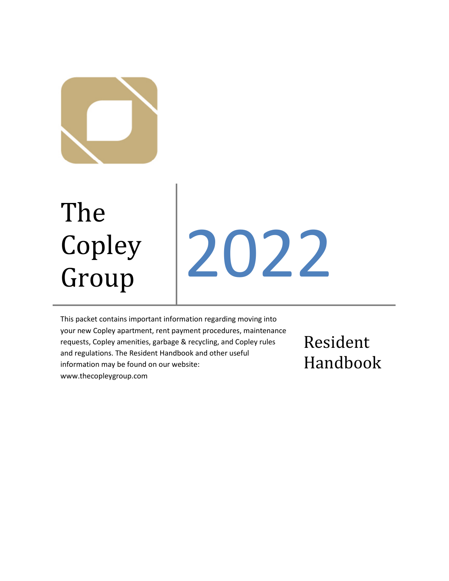

# The Copley

# Copley 2022

This packet contains important information regarding moving into your new Copley apartment, rent payment procedures, maintenance requests, Copley amenities, garbage & recycling, and Copley rules and regulations. The Resident Handbook and other useful information may be found on our website: www.thecopleygroup.com

Resident Handbook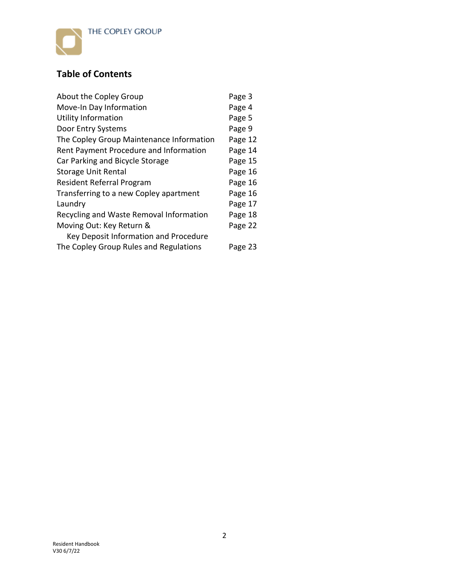

# **Table of Contents**

| About the Copley Group                   | Page 3  |
|------------------------------------------|---------|
| Move-In Day Information                  | Page 4  |
| <b>Utility Information</b>               | Page 5  |
| Door Entry Systems                       | Page 9  |
| The Copley Group Maintenance Information | Page 12 |
| Rent Payment Procedure and Information   | Page 14 |
| Car Parking and Bicycle Storage          | Page 15 |
| <b>Storage Unit Rental</b>               | Page 16 |
| <b>Resident Referral Program</b>         | Page 16 |
| Transferring to a new Copley apartment   | Page 16 |
| Laundry                                  | Page 17 |
| Recycling and Waste Removal Information  | Page 18 |
| Moving Out: Key Return &                 | Page 22 |
| Key Deposit Information and Procedure    |         |
| The Copley Group Rules and Regulations   | Page 23 |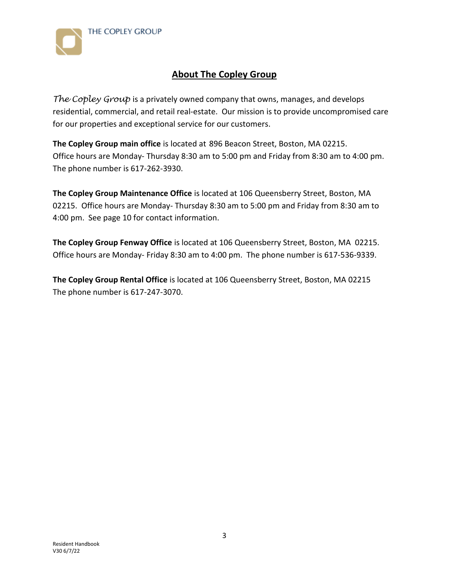



# **About The Copley Group**

*The Copley Group* is a privately owned company that owns, manages, and develops residential, commercial, and retail real-estate. Our mission is to provide uncompromised care for our properties and exceptional service for our customers.

**The Copley Group main office** is located at 896 Beacon Street, Boston, MA 02215. Office hours are Monday- Thursday 8:30 am to 5:00 pm and Friday from 8:30 am to 4:00 pm. The phone number is 617-262-3930.

**The Copley Group Maintenance Office** is located at 106 Queensberry Street, Boston, MA 02215. Office hours are Monday- Thursday 8:30 am to 5:00 pm and Friday from 8:30 am to 4:00 pm. See page 10 for contact information.

**The Copley Group Fenway Office** is located at 106 Queensberry Street, Boston, MA 02215. Office hours are Monday- Friday 8:30 am to 4:00 pm. The phone number is 617-536-9339.

**The Copley Group Rental Office** is located at 106 Queensberry Street, Boston, MA 02215 The phone number is 617-247-3070.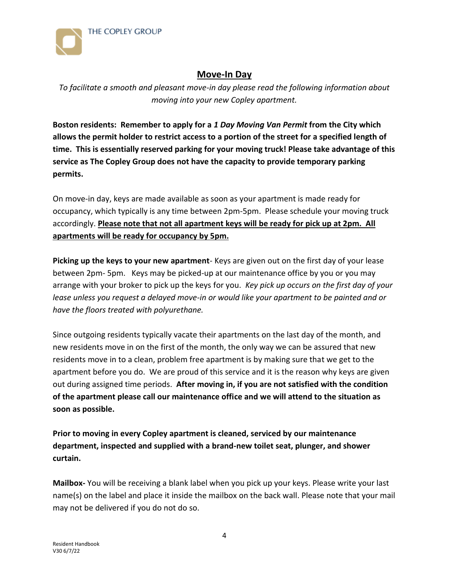



# **Move-In Day**

*To facilitate a smooth and pleasant move-in day please read the following information about moving into your new Copley apartment.*

**Boston residents: Remember to apply for a** *1 Day Moving Van Permit* **from the City which allows the permit holder to restrict access to a portion of the street for a specified length of time. This is essentially reserved parking for your moving truck! Please take advantage of this service as The Copley Group does not have the capacity to provide temporary parking permits.**

On move-in day, keys are made available as soon as your apartment is made ready for occupancy, which typically is any time between 2pm-5pm. Please schedule your moving truck accordingly. **Please note that not all apartment keys will be ready for pick up at 2pm. All apartments will be ready for occupancy by 5pm.**

**Picking up the keys to your new apartment**- Keys are given out on the first day of your lease between 2pm- 5pm. Keys may be picked-up at our maintenance office by you or you may arrange with your broker to pick up the keys for you. *Key pick up occurs on the first day of your lease unless you request a delayed move-in or would like your apartment to be painted and or have the floors treated with polyurethane.*

Since outgoing residents typically vacate their apartments on the last day of the month, and new residents move in on the first of the month, the only way we can be assured that new residents move in to a clean, problem free apartment is by making sure that we get to the apartment before you do. We are proud of this service and it is the reason why keys are given out during assigned time periods. **After moving in, if you are not satisfied with the condition of the apartment please call our maintenance office and we will attend to the situation as soon as possible.**

**Prior to moving in every Copley apartment is cleaned, serviced by our maintenance department, inspected and supplied with a brand-new toilet seat, plunger, and shower curtain.**

**Mailbox-** You will be receiving a blank label when you pick up your keys. Please write your last name(s) on the label and place it inside the mailbox on the back wall. Please note that your mail may not be delivered if you do not do so.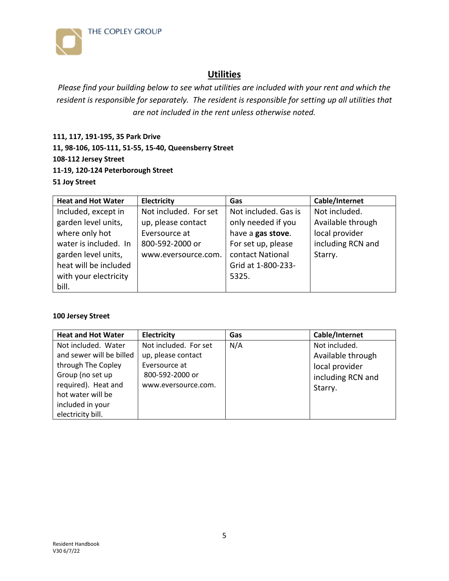

# **Utilities**

*Please find your building below to see what utilities are included with your rent and which the resident is responsible for separately. The resident is responsible for setting up all utilities that are not included in the rent unless otherwise noted.* 

**111, 117, 191-195, 35 Park Drive 11, 98-106, 105-111, 51-55, 15-40, Queensberry Street 108-112 Jersey Street 11-19, 120-124 Peterborough Street 51 Joy Street**

| <b>Heat and Hot Water</b> | Electricity           | Gas                  | Cable/Internet    |
|---------------------------|-----------------------|----------------------|-------------------|
| Included, except in       | Not included. For set | Not included. Gas is | Not included.     |
| garden level units,       | up, please contact    | only needed if you   | Available through |
| where only hot            | Eversource at         | have a gas stove.    | local provider    |
| water is included. In     | 800-592-2000 or       | For set up, please   | including RCN and |
| garden level units,       | www.eversource.com.   | contact National     | Starry.           |
| heat will be included     |                       | Grid at 1-800-233-   |                   |
| with your electricity     |                       | 5325.                |                   |
| bill.                     |                       |                      |                   |

# **100 Jersey Street**

| <b>Heat and Hot Water</b>                                                                 | <b>Electricity</b>                                                              | Gas | Cable/Internet                                                            |
|-------------------------------------------------------------------------------------------|---------------------------------------------------------------------------------|-----|---------------------------------------------------------------------------|
| Not included. Water<br>and sewer will be billed<br>through The Copley<br>Group (no set up | Not included. For set<br>up, please contact<br>Eversource at<br>800-592-2000 or | N/A | Not included.<br>Available through<br>local provider<br>including RCN and |
| required). Heat and<br>hot water will be<br>included in your<br>electricity bill.         | www.eversource.com.                                                             |     | Starry.                                                                   |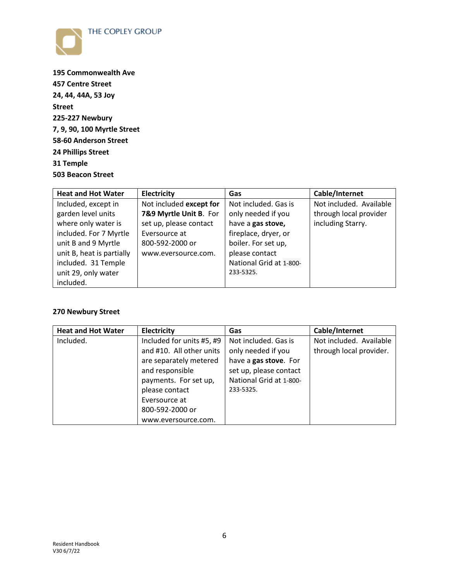



**195 Commonwealth Ave 457 Centre Street 24, 44, 44A, 53 Joy Street 225-227 Newbury 7, 9, 90, 100 Myrtle Street 58-60 Anderson Street 24 Phillips Street 31 Temple 503 Beacon Street** 

| <b>Heat and Hot Water</b> | Electricity             | Gas                     | Cable/Internet          |
|---------------------------|-------------------------|-------------------------|-------------------------|
| Included, except in       | Not included except for | Not included. Gas is    | Not included. Available |
| garden level units        | 7&9 Myrtle Unit B. For  | only needed if you      | through local provider  |
| where only water is       | set up, please contact  | have a gas stove,       | including Starry.       |
| included. For 7 Myrtle    | Eversource at           | fireplace, dryer, or    |                         |
| unit B and 9 Myrtle       | 800-592-2000 or         | boiler. For set up,     |                         |
| unit B, heat is partially | www.eversource.com.     | please contact          |                         |
| included. 31 Temple       |                         | National Grid at 1-800- |                         |
| unit 29, only water       |                         | 233-5325.               |                         |
| included.                 |                         |                         |                         |

# **270 Newbury Street**

| <b>Heat and Hot Water</b> | <b>Electricity</b>        | Gas                     | Cable/Internet          |
|---------------------------|---------------------------|-------------------------|-------------------------|
| Included.                 | Included for units #5, #9 | Not included. Gas is    | Not included. Available |
|                           | and #10. All other units  | only needed if you      | through local provider. |
|                           | are separately metered    | have a gas stove. For   |                         |
|                           | and responsible           | set up, please contact  |                         |
|                           | payments. For set up,     | National Grid at 1-800- |                         |
|                           | please contact            | 233-5325.               |                         |
|                           | Eversource at             |                         |                         |
|                           | 800-592-2000 or           |                         |                         |
|                           | www.eversource.com.       |                         |                         |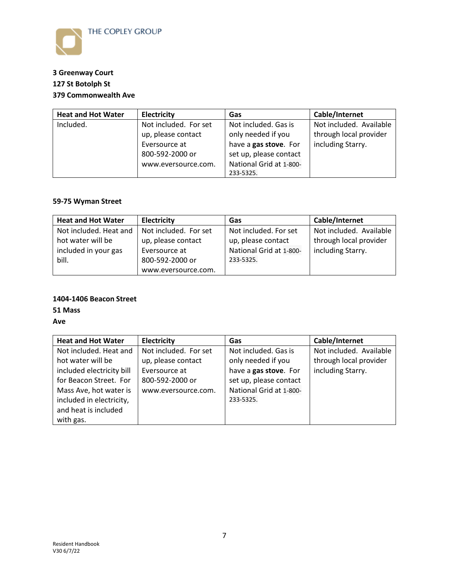

# **3 Greenway Court 127 St Botolph St 379 Commonwealth Ave**

| <b>Heat and Hot Water</b> | <b>Electricity</b>    | Gas                     | Cable/Internet          |
|---------------------------|-----------------------|-------------------------|-------------------------|
| Included.                 | Not included. For set | Not included. Gas is    | Not included. Available |
|                           | up, please contact    | only needed if you      | through local provider  |
|                           | Eversource at         | have a gas stove. For   | including Starry.       |
|                           | 800-592-2000 or       | set up, please contact  |                         |
|                           | www.eversource.com.   | National Grid at 1-800- |                         |
|                           |                       | 233-5325.               |                         |

# **59-75 Wyman Street**

| <b>Heat and Hot Water</b> | <b>Electricity</b>    | Gas                     | Cable/Internet          |
|---------------------------|-----------------------|-------------------------|-------------------------|
| Not included. Heat and    | Not included. For set | Not included. For set   | Not included. Available |
| hot water will be         | up, please contact    | up, please contact      | through local provider  |
| included in your gas      | Eversource at         | National Grid at 1-800- | including Starry.       |
| bill.                     | 800-592-2000 or       | 233-5325.               |                         |
|                           | www.eversource.com.   |                         |                         |

# **1404-1406 Beacon Street**

**51 Mass** 

**Ave** 

| <b>Heat and Hot Water</b> | <b>Electricity</b>    | Gas                     | Cable/Internet          |
|---------------------------|-----------------------|-------------------------|-------------------------|
| Not included. Heat and    | Not included. For set | Not included. Gas is    | Not included. Available |
| hot water will be         | up, please contact    | only needed if you      | through local provider  |
| included electricity bill | Eversource at         | have a gas stove. For   | including Starry.       |
| for Beacon Street. For    | 800-592-2000 or       | set up, please contact  |                         |
| Mass Ave, hot water is    | www.eversource.com.   | National Grid at 1-800- |                         |
| included in electricity,  |                       | 233-5325.               |                         |
| and heat is included      |                       |                         |                         |
| with gas.                 |                       |                         |                         |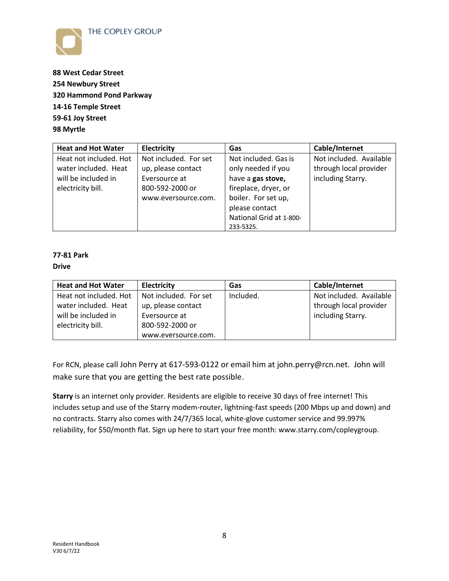



**88 West Cedar Street 254 Newbury Street 320 Hammond Pond Parkway 14-16 Temple Street 59-61 Joy Street 98 Myrtle** 

| <b>Heat and Hot Water</b> | Electricity           | Gas                     | Cable/Internet          |
|---------------------------|-----------------------|-------------------------|-------------------------|
| Heat not included. Hot    | Not included. For set | Not included. Gas is    | Not included. Available |
| water included. Heat      | up, please contact    | only needed if you      | through local provider  |
| will be included in       | Eversource at         | have a gas stove,       | including Starry.       |
| electricity bill.         | 800-592-2000 or       | fireplace, dryer, or    |                         |
|                           | www.eversource.com.   | boiler. For set up,     |                         |
|                           |                       | please contact          |                         |
|                           |                       | National Grid at 1-800- |                         |
|                           |                       | 233-5325.               |                         |

# **77-81 Park**

#### **Drive**

| <b>Heat and Hot Water</b> | <b>Electricity</b>    | Gas       | Cable/Internet          |
|---------------------------|-----------------------|-----------|-------------------------|
| Heat not included. Hot    | Not included. For set | Included. | Not included. Available |
| water included. Heat      | up, please contact    |           | through local provider  |
| will be included in       | Eversource at         |           | including Starry.       |
| electricity bill.         | 800-592-2000 or       |           |                         |
|                           | www.eversource.com.   |           |                         |

For RCN, please call John Perry at 617-593-0122 or email him at john.perry@rcn.net. John will make sure that you are getting the best rate possible.

**Starry** is an internet only provider. Residents are eligible to receive 30 days of free internet! This includes setup and use of the Starry modem-router, lightning-fast speeds (200 Mbps up and down) and no contracts. Starry also comes with 24/7/365 local, white-glove customer service and 99.997% reliability, for \$50/month flat. Sign up here to start your free month: [www.starry.com/copleygroup.](http://www.starry.com/copleygroup)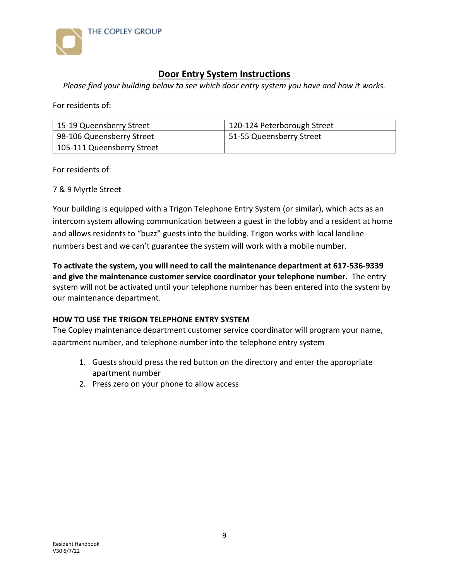

# **Door Entry System Instructions**

*Please find your building below to see which door entry system you have and how it works.*

For residents of:

| 15-19 Queensberry Street   | 120-124 Peterborough Street |
|----------------------------|-----------------------------|
| 98-106 Queensberry Street  | 51-55 Queensberry Street    |
| 105-111 Queensberry Street |                             |

For residents of:

7 & 9 Myrtle Street

Your building is equipped with a Trigon Telephone Entry System (or similar), which acts as an intercom system allowing communication between a guest in the lobby and a resident at home and allows residents to "buzz" guests into the building. Trigon works with local landline numbers best and we can't guarantee the system will work with a mobile number.

**To activate the system, you will need to call the maintenance department at 617-536-9339 and give the maintenance customer service coordinator your telephone number.** The entry system will not be activated until your telephone number has been entered into the system by our maintenance department.

# **HOW TO USE THE TRIGON TELEPHONE ENTRY SYSTEM**

The Copley maintenance department customer service coordinator will program your name, apartment number, and telephone number into the telephone entry system

- 1. Guests should press the red button on the directory and enter the appropriate apartment number
- 2. Press zero on your phone to allow access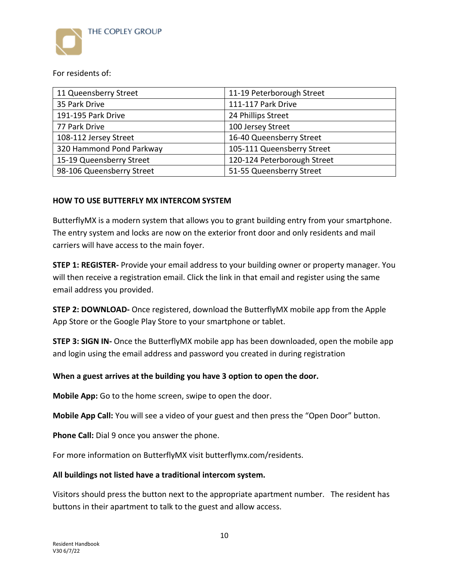

For residents of:

| 11 Queensberry Street     | 11-19 Peterborough Street   |
|---------------------------|-----------------------------|
| 35 Park Drive             | 111-117 Park Drive          |
| 191-195 Park Drive        | 24 Phillips Street          |
| 77 Park Drive             | 100 Jersey Street           |
| 108-112 Jersey Street     | 16-40 Queensberry Street    |
| 320 Hammond Pond Parkway  | 105-111 Queensberry Street  |
| 15-19 Queensberry Street  | 120-124 Peterborough Street |
| 98-106 Queensberry Street | 51-55 Queensberry Street    |

# **HOW TO USE BUTTERFLY MX INTERCOM SYSTEM**

ButterflyMX is a modern system that allows you to grant building entry from your smartphone. The entry system and locks are now on the exterior front door and only residents and mail carriers will have access to the main foyer.

**STEP 1: REGISTER-** Provide your email address to your building owner or property manager. You will then receive a registration email. Click the link in that email and register using the same email address you provided.

**STEP 2: DOWNLOAD-** Once registered, download the ButterflyMX mobile app from the Apple App Store or the Google Play Store to your smartphone or tablet.

**STEP 3: SIGN IN-** Once the ButterflyMX mobile app has been downloaded, open the mobile app and login using the email address and password you created in during registration

# **When a guest arrives at the building you have 3 option to open the door.**

**Mobile App:** Go to the home screen, swipe to open the door.

**Mobile App Call:** You will see a video of your guest and then press the "Open Door" button.

**Phone Call:** Dial 9 once you answer the phone.

For more information on ButterflyMX visit butterflymx.com/residents.

#### **All buildings not listed have a traditional intercom system.**

Visitors should press the button next to the appropriate apartment number. The resident has buttons in their apartment to talk to the guest and allow access.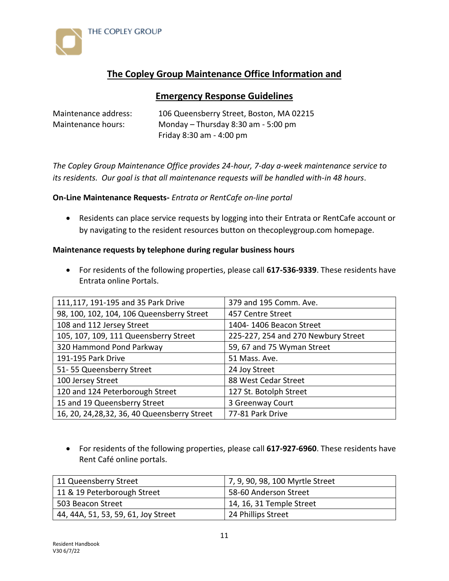



# **The Copley Group Maintenance Office Information and**

# **Emergency Response Guidelines**

Maintenance address: 106 Queensberry Street, Boston, MA 02215 Maintenance hours: Monday – Thursday 8:30 am - 5:00 pm Friday 8:30 am - 4:00 pm

*The Copley Group Maintenance Office provides 24-hour, 7-day a-week maintenance service to its residents. Our goal is that all maintenance requests will be handled with-in 48 hours*.

# **On-Line Maintenance Requests-** *Entrata or RentCafe on-line portal*

• Residents can place service requests by logging into their Entrata or RentCafe account or by navigating to the resident resources button on thecopleygroup.com homepage.

# **Maintenance requests by telephone during regular business hours**

• For residents of the following properties, please call **617-536-9339**. These residents have Entrata online Portals.

| 111,117, 191-195 and 35 Park Drive            | 379 and 195 Comm. Ave.              |
|-----------------------------------------------|-------------------------------------|
| 98, 100, 102, 104, 106 Queensberry Street     | 457 Centre Street                   |
| 108 and 112 Jersey Street                     | 1404-1406 Beacon Street             |
| 105, 107, 109, 111 Queensberry Street         | 225-227, 254 and 270 Newbury Street |
| 320 Hammond Pond Parkway                      | 59, 67 and 75 Wyman Street          |
| 191-195 Park Drive                            | 51 Mass. Ave.                       |
| 51-55 Queensberry Street                      | 24 Joy Street                       |
| 100 Jersey Street                             | 88 West Cedar Street                |
| 120 and 124 Peterborough Street               | 127 St. Botolph Street              |
| 15 and 19 Queensberry Street                  | 3 Greenway Court                    |
| 16, 20, 24, 28, 32, 36, 40 Queensberry Street | 77-81 Park Drive                    |

• For residents of the following properties, please call **617-927-6960**. These residents have Rent Café online portals.

| 11 Queensberry Street               | 7, 9, 90, 98, 100 Myrtle Street |
|-------------------------------------|---------------------------------|
| 11 & 19 Peterborough Street         | 58-60 Anderson Street           |
| 503 Beacon Street                   | 14, 16, 31 Temple Street        |
| 44, 44A, 51, 53, 59, 61, Joy Street | 24 Phillips Street              |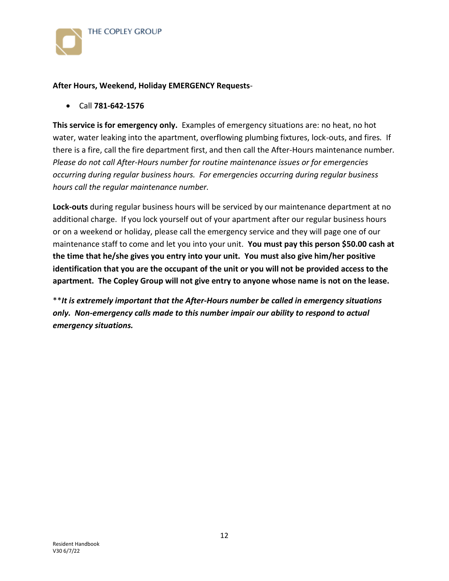

#### **After Hours, Weekend, Holiday EMERGENCY Requests**-

• Call **781-642-1576**

**This service is for emergency only.** Examples of emergency situations are: no heat, no hot water, water leaking into the apartment, overflowing plumbing fixtures, lock-outs, and fires*.* If there is a fire, call the fire department first, and then call the After-Hours maintenance number*. Please do not call After-Hours number for routine maintenance issues or for emergencies occurring during regular business hours. For emergencies occurring during regular business hours call the regular maintenance number.*

**Lock-outs** during regular business hours will be serviced by our maintenance department at no additional charge. If you lock yourself out of your apartment after our regular business hours or on a weekend or holiday, please call the emergency service and they will page one of our maintenance staff to come and let you into your unit. **You must pay this person \$50.00 cash at the time that he/she gives you entry into your unit. You must also give him/her positive identification that you are the occupant of the unit or you will not be provided access to the apartment. The Copley Group will not give entry to anyone whose name is not on the lease.**

\*\**It is extremely important that the After-Hours number be called in emergency situations only. Non-emergency calls made to this number impair our ability to respond to actual emergency situations.*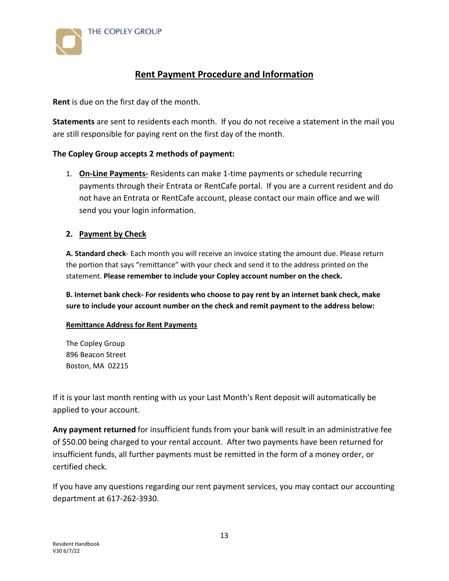

# **Rent Payment Procedure and Information**

**Rent** is due on the first day of the month.

**Statements** are sent to residents each month. If you do not receive a statement in the mail you are still responsible for paying rent on the first day of the month.

# **The Copley Group accepts 2 methods of payment:**

1. **On-Line Payments-** Residents can make 1-time payments or schedule recurring payments through their Entrata or RentCafe portal. If you are a current resident and do not have an Entrata or RentCafe account, please contact our main office and we will send you your login information.

# **2. Payment by Check**

**A. Standard check**- Each month you will receive an invoice stating the amount due. Please return the portion that says "remittance" with your check and send it to the address printed on the statement. **Please remember to include your Copley account number on the check.**

**B. Internet bank check- For residents who choose to pay rent by an internet bank check, make sure to include your account number on the check and remit payment to the address below:**

# **Remittance Address for Rent Payments**

The Copley Group 896 Beacon Street Boston, MA 02215

If it is your last month renting with us your Last Month's Rent deposit will automatically be applied to your account.

**Any payment returned** for insufficient funds from your bank will result in an administrative fee of \$50.00 being charged to your rental account. After two payments have been returned for insufficient funds, all further payments must be remitted in the form of a money order, or certified check.

If you have any questions regarding our rent payment services, you may contact our accounting department at 617-262-3930.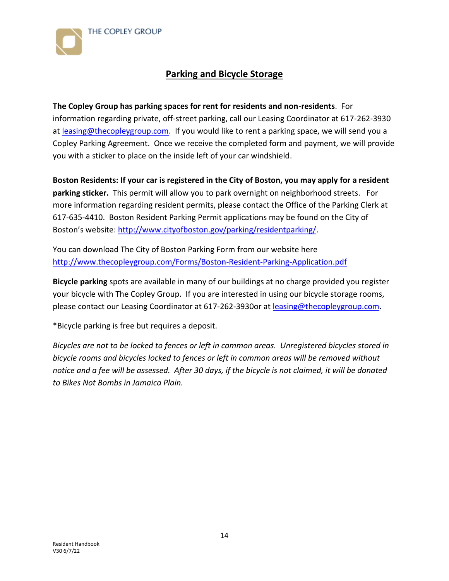



# **Parking and Bicycle Storage**

**The Copley Group has parking spaces for rent for residents and non-residents**. For information regarding private, off-street parking, call our Leasing Coordinator at 617-262-3930 at [leasing@thecopleygroup.com.](mailto:leasing@thecopleygroup.com) If you would like to rent a parking space, we will send you a Copley Parking Agreement. Once we receive the completed form and payment, we will provide you with a sticker to place on the inside left of your car windshield.

**Boston Residents: If your car is registered in the City of Boston, you may apply for a resident parking sticker.** This permit will allow you to park overnight on neighborhood streets. For more information regarding resident permits, please contact the Office of the Parking Clerk at 617-635-4410. Boston Resident Parking Permit applications may be found on the City of Boston's website: [http://www.cityofboston.gov/parking/residentparking/.](http://www.cityofboston.gov/parking/residentparking/)

You can download The City of Boston Parking Form from our website here <http://www.thecopleygroup.com/Forms/Boston-Resident-Parking-Application.pdf>

**Bicycle parking** spots are available in many of our buildings at no charge provided you register your bicycle with The Copley Group. If you are interested in using our bicycle storage rooms, please contact our Leasing Coordinator at 617-262-3930or at **leasing@thecopleygroup.com.** 

\*Bicycle parking is free but requires a deposit.

*Bicycles are not to be locked to fences or left in common areas. Unregistered bicycles stored in bicycle rooms and bicycles locked to fences or left in common areas will be removed without notice and a fee will be assessed. After 30 days, if the bicycle is not claimed, it will be donated to Bikes Not Bombs in Jamaica Plain.*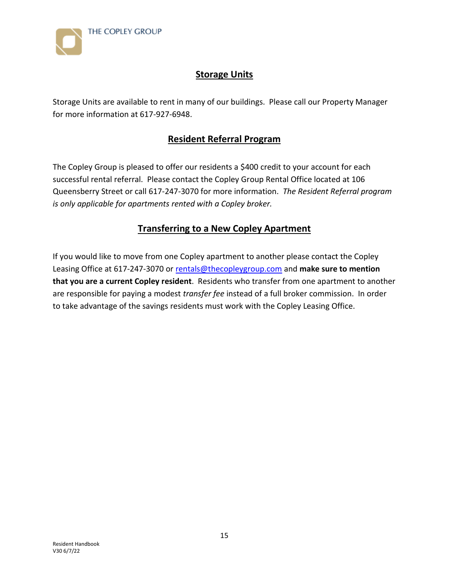

# **Storage Units**

Storage Units are available to rent in many of our buildings. Please call our Property Manager for more information at 617-927-6948.

# **Resident Referral Program**

The Copley Group is pleased to offer our residents a \$400 credit to your account for each successful rental referral. Please contact the Copley Group Rental Office located at 106 Queensberry Street or call 617-247-3070 for more information. *The Resident Referral program is only applicable for apartments rented with a Copley broker.* 

# **Transferring to a New Copley Apartment**

If you would like to move from one Copley apartment to another please contact the Copley Leasing Office at 617-247-3070 or [rentals@thecopleygroup.com](mailto:rentals@thecopleygroup.com) and **make sure to mention that you are a current Copley resident**. Residents who transfer from one apartment to another are responsible for paying a modest *transfer fee* instead of a full broker commission. In order to take advantage of the savings residents must work with the Copley Leasing Office.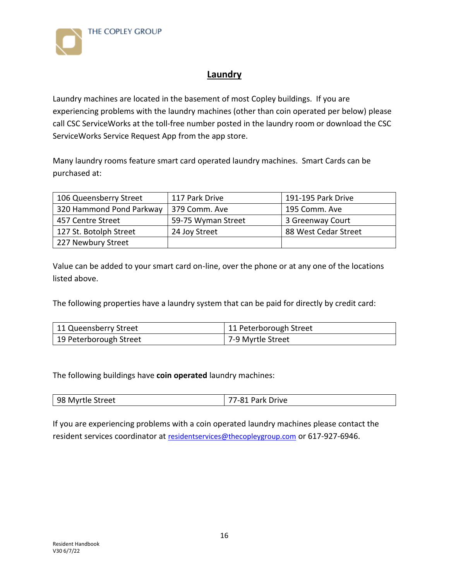

# **Laundry**

Laundry machines are located in the basement of most Copley buildings. If you are experiencing problems with the laundry machines (other than coin operated per below) please call CSC ServiceWorks at the toll-free number posted in the laundry room or download the CSC ServiceWorks Service Request App from the app store.

Many laundry rooms feature smart card operated laundry machines. Smart Cards can be purchased at:

| 106 Queensberry Street   | 117 Park Drive     | 191-195 Park Drive   |
|--------------------------|--------------------|----------------------|
| 320 Hammond Pond Parkway | 379 Comm. Ave      | 195 Comm. Ave        |
| 457 Centre Street        | 59-75 Wyman Street | 3 Greenway Court     |
| 127 St. Botolph Street   | 24 Joy Street      | 88 West Cedar Street |
| 227 Newbury Street       |                    |                      |

Value can be added to your smart card on-line, over the phone or at any one of the locations listed above.

The following properties have a laundry system that can be paid for directly by credit card:

| 11 Queensberry Street  | 11 Peterborough Street |
|------------------------|------------------------|
| 19 Peterborough Street | 7-9 Myrtle Street      |

The following buildings have **coin operated** laundry machines:

|--|

If you are experiencing problems with a coin operated laundry machines please contact the resident services coordinator at [residentservices@thecopleygroup.com](mailto:residentservices@thecopleygroup.com) or 617-927-6946.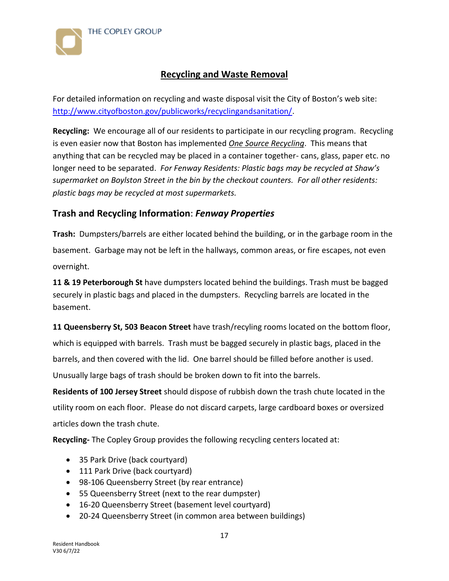



# **Recycling and Waste Removal**

For detailed information on recycling and waste disposal visit the City of Boston's web site: [http://www.cityofboston.gov/publicworks/recyclingandsanitation/.](http://www.cityofboston.gov/publicworks/recyclingandsanitation/)

**Recycling:** We encourage all of our residents to participate in our recycling program. Recycling is even easier now that Boston has implemented *One Source Recycling*. This means that anything that can be recycled may be placed in a container together- cans, glass, paper etc. no longer need to be separated. *For Fenway Residents: Plastic bags may be recycled at Shaw's supermarket on Boylston Street in the bin by the checkout counters. For all other residents: plastic bags may be recycled at most supermarkets.*

# **Trash and Recycling Information**: *Fenway Properties*

**Trash:** Dumpsters/barrels are either located behind the building, or in the garbage room in the basement. Garbage may not be left in the hallways, common areas, or fire escapes, not even overnight.

**11 & 19 Peterborough St** have dumpsters located behind the buildings. Trash must be bagged securely in plastic bags and placed in the dumpsters. Recycling barrels are located in the basement.

**11 Queensberry St, 503 Beacon Street** have trash/recyling rooms located on the bottom floor, which is equipped with barrels. Trash must be bagged securely in plastic bags, placed in the barrels, and then covered with the lid. One barrel should be filled before another is used. Unusually large bags of trash should be broken down to fit into the barrels.

**Residents of 100 Jersey Street** should dispose of rubbish down the trash chute located in the utility room on each floor. Please do not discard carpets, large cardboard boxes or oversized articles down the trash chute.

**Recycling-** The Copley Group provides the following recycling centers located at:

- 35 Park Drive (back courtyard)
- 111 Park Drive (back courtyard)
- 98-106 Queensberry Street (by rear entrance)
- 55 Queensberry Street (next to the rear dumpster)
- 16-20 Queensberry Street (basement level courtyard)
- 20-24 Queensberry Street (in common area between buildings)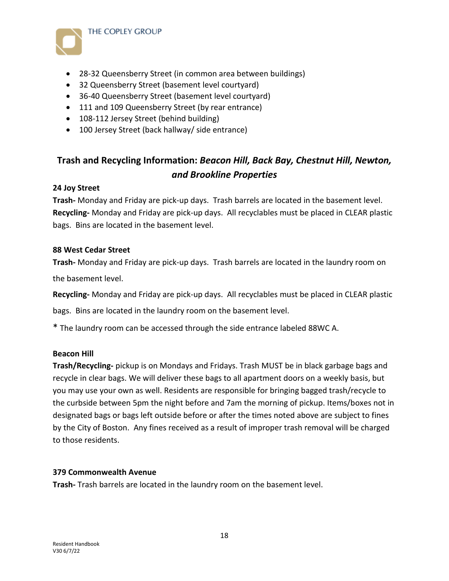

- 28-32 Queensberry Street (in common area between buildings)
- 32 Queensberry Street (basement level courtyard)
- 36-40 Queensberry Street (basement level courtyard)
- 111 and 109 Queensberry Street (by rear entrance)
- 108-112 Jersey Street (behind building)
- 100 Jersey Street (back hallway/ side entrance)

# **Trash and Recycling Information:** *Beacon Hill, Back Bay, Chestnut Hill, Newton, and Brookline Properties*

#### **24 Joy Street**

**Trash-** Monday and Friday are pick-up days. Trash barrels are located in the basement level. **Recycling-** Monday and Friday are pick-up days. All recyclables must be placed in CLEAR plastic bags. Bins are located in the basement level.

#### **88 West Cedar Street**

**Trash-** Monday and Friday are pick-up days. Trash barrels are located in the laundry room on the basement level.

**Recycling-** Monday and Friday are pick-up days. All recyclables must be placed in CLEAR plastic

bags. Bins are located in the laundry room on the basement level.

\* The laundry room can be accessed through the side entrance labeled 88WC A.

#### **Beacon Hill**

**Trash/Recycling-** pickup is on Mondays and Fridays. Trash MUST be in black garbage bags and recycle in clear bags. We will deliver these bags to all apartment doors on a weekly basis, but you may use your own as well. Residents are responsible for bringing bagged trash/recycle to the curbside between 5pm the night before and 7am the morning of pickup. Items/boxes not in designated bags or bags left outside before or after the times noted above are subject to fines by the City of Boston. Any fines received as a result of improper trash removal will be charged to those residents.

# **379 Commonwealth Avenue**

**Trash-** Trash barrels are located in the laundry room on the basement level.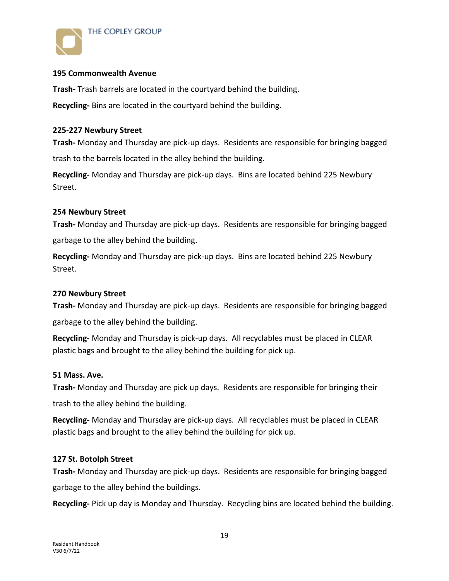

# **195 Commonwealth Avenue**

**Trash-** Trash barrels are located in the courtyard behind the building.

**Recycling-** Bins are located in the courtyard behind the building.

#### **225-227 Newbury Street**

**Trash-** Monday and Thursday are pick-up days. Residents are responsible for bringing bagged trash to the barrels located in the alley behind the building.

**Recycling-** Monday and Thursday are pick-up days. Bins are located behind 225 Newbury Street.

#### **254 Newbury Street**

**Trash-** Monday and Thursday are pick-up days. Residents are responsible for bringing bagged garbage to the alley behind the building.

**Recycling-** Monday and Thursday are pick-up days. Bins are located behind 225 Newbury Street.

#### **270 Newbury Street**

**Trash-** Monday and Thursday are pick-up days. Residents are responsible for bringing bagged garbage to the alley behind the building.

**Recycling-** Monday and Thursday is pick-up days. All recyclables must be placed in CLEAR plastic bags and brought to the alley behind the building for pick up.

#### **51 Mass. Ave.**

**Trash-** Monday and Thursday are pick up days. Residents are responsible for bringing their trash to the alley behind the building.

**Recycling-** Monday and Thursday are pick-up days. All recyclables must be placed in CLEAR plastic bags and brought to the alley behind the building for pick up.

#### **127 St. Botolph Street**

**Trash-** Monday and Thursday are pick-up days. Residents are responsible for bringing bagged garbage to the alley behind the buildings.

**Recycling-** Pick up day is Monday and Thursday. Recycling bins are located behind the building.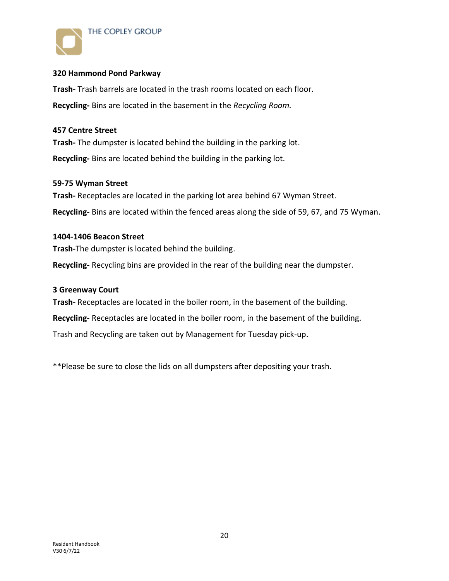

# **320 Hammond Pond Parkway**

**Trash-** Trash barrels are located in the trash rooms located on each floor. **Recycling-** Bins are located in the basement in the *Recycling Room.*

#### **457 Centre Street**

**Trash-** The dumpster is located behind the building in the parking lot. **Recycling-** Bins are located behind the building in the parking lot.

#### **59-75 Wyman Street**

**Trash-** Receptacles are located in the parking lot area behind 67 Wyman Street. **Recycling-** Bins are located within the fenced areas along the side of 59, 67, and 75 Wyman.

#### **1404-1406 Beacon Street**

**Trash-**The dumpster is located behind the building.

**Recycling-** Recycling bins are provided in the rear of the building near the dumpster.

#### **3 Greenway Court**

**Trash-** Receptacles are located in the boiler room, in the basement of the building.

**Recycling-** Receptacles are located in the boiler room, in the basement of the building.

Trash and Recycling are taken out by Management for Tuesday pick-up.

\*\*Please be sure to close the lids on all dumpsters after depositing your trash.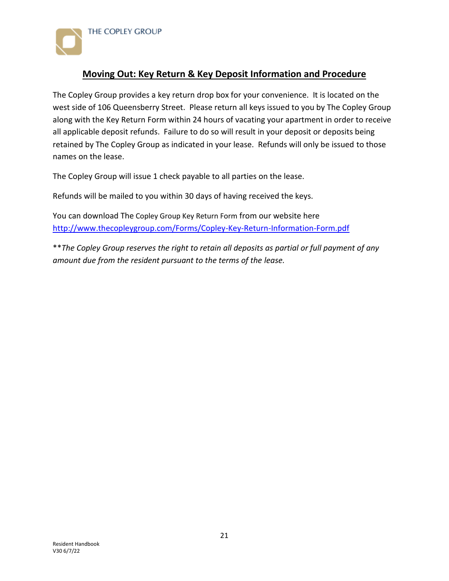

# **Moving Out: Key Return & Key Deposit Information and Procedure**

The Copley Group provides a key return drop box for your convenience. It is located on the west side of 106 Queensberry Street. Please return all keys issued to you by The Copley Group along with the Key Return Form within 24 hours of vacating your apartment in order to receive all applicable deposit refunds. Failure to do so will result in your deposit or deposits being retained by The Copley Group as indicated in your lease. Refunds will only be issued to those names on the lease.

The Copley Group will issue 1 check payable to all parties on the lease.

Refunds will be mailed to you within 30 days of having received the keys.

You can download The Copley Group Key Return Form from our website here <http://www.thecopleygroup.com/Forms/Copley-Key-Return-Information-Form.pdf>

\*\**The Copley Group reserves the right to retain all deposits as partial or full payment of any amount due from the resident pursuant to the terms of the lease.*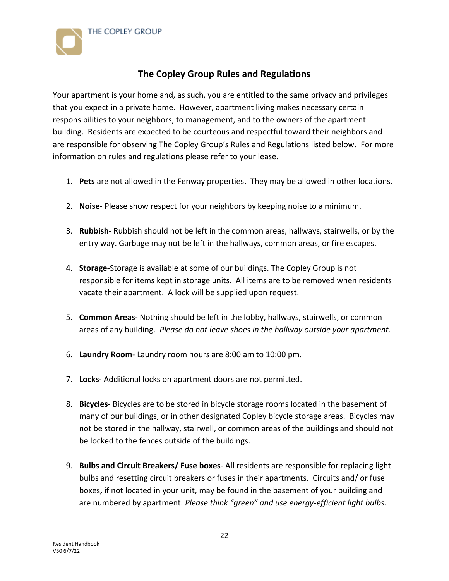

# **The Copley Group Rules and Regulations**

Your apartment is your home and, as such, you are entitled to the same privacy and privileges that you expect in a private home. However, apartment living makes necessary certain responsibilities to your neighbors, to management, and to the owners of the apartment building. Residents are expected to be courteous and respectful toward their neighbors and are responsible for observing The Copley Group's Rules and Regulations listed below. For more information on rules and regulations please refer to your lease.

- 1. **Pets** are not allowed in the Fenway properties. They may be allowed in other locations.
- 2. **Noise** Please show respect for your neighbors by keeping noise to a minimum.
- 3. **Rubbish-** Rubbish should not be left in the common areas, hallways, stairwells, or by the entry way. Garbage may not be left in the hallways, common areas, or fire escapes.
- 4. **Storage-**Storage is available at some of our buildings. The Copley Group is not responsible for items kept in storage units. All items are to be removed when residents vacate their apartment. A lock will be supplied upon request.
- 5. **Common Areas** Nothing should be left in the lobby, hallways, stairwells, or common areas of any building. *Please do not leave shoes in the hallway outside your apartment.*
- 6. **Laundry Room** Laundry room hours are 8:00 am to 10:00 pm.
- 7. **Locks** Additional locks on apartment doors are not permitted.
- 8. **Bicycles** Bicycles are to be stored in bicycle storage rooms located in the basement of many of our buildings, or in other designated Copley bicycle storage areas. Bicycles may not be stored in the hallway, stairwell, or common areas of the buildings and should not be locked to the fences outside of the buildings.
- 9. **Bulbs and Circuit Breakers/ Fuse boxes** All residents are responsible for replacing light bulbs and resetting circuit breakers or fuses in their apartments. Circuits and/ or fuse boxes**,** if not located in your unit, may be found in the basement of your building and are numbered by apartment. *Please think "green" and use energy-efficient light bulbs.*